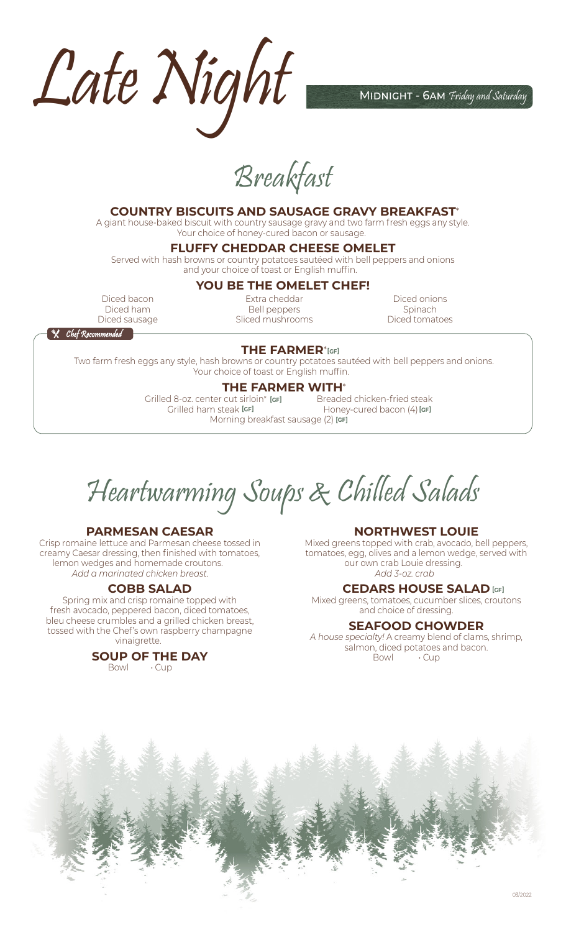Late Night Mont

Breakfast

# **COUNTRY BISCUITS AND SAUSAGE GRAVY BREAKFAST**\*

A giant house-baked biscuit with country sausage gravy and two farm fresh eggs any style. Your choice of honey-cured bacon or sausage.

# **FLUFFY CHEDDAR CHEESE OMELET**

Served with hash browns or country potatoes sautéed with bell peppers and onions and your choice of toast or English muffin.

#### **YOU BE THE OMELET CHEF!**

Diced bacon Diced ham Diced sausage

Extra cheddar Bell peppers Sliced mushrooms

Diced onions Spinach **1.25** Diced tomatoes

**X** Chef Recommended

#### **THE FARMER**\* **[GF]**

Two farm fresh eggs any style, hash browns or country potatoes sautéed with bell peppers and onions. Your choice of toast or English muffin.

**THE FARMER WITH<sup>\*</sup>**<br>Cut sirloin\* **Igel Preaded chicken-fried steak** Grilled 8-oz. center cut sirloin\* **24.00** Breaded chicken-fried steak **16.00 [GF]** Grilled ham steak **14.00** Honey-cured bacon (4) **13.00 [GF]** Morning breakfast sausage (2) **[cғ]** Grilled ham steak [GF]

Heartwarming Soups & Chilled Salads

# **PARMESAN CAESAR**

Crisp romaine lettuce and Parmesan cheese tossed in creamy Caesar dressing, then finished with tomatoes, lemon wedges and homemade croutons. *Add a marinated chicken breast. 5.25*

#### **COBB SALAD**

Spring mix and crisp romaine topped with fresh avocado, peppered bacon, diced tomatoes, bleu cheese crumbles and a grilled chicken breast, tossed with the Chef's own raspberry champagne vinaigrette.

# **SOUP OF THE DAY**

Bowl **Cup** 

# **NORTHWEST LOUIE**

Mixed greens topped with crab, avocado, bell peppers, tomatoes, egg, olives and a lemon wedge, served with our own crab Louie dressing. *Add 3-oz. crab 15.00*

#### **CEDARS HOUSE SALAD [GF]**

Mixed greens, tomatoes, cucumber slices, croutons and choice of dressing. **6.50**

#### **SEAFOOD CHOWDER**

*A house specialty!* A creamy blend of clams, shrimp, salmon, diced potatoes and bacon. Bowl **Cup**